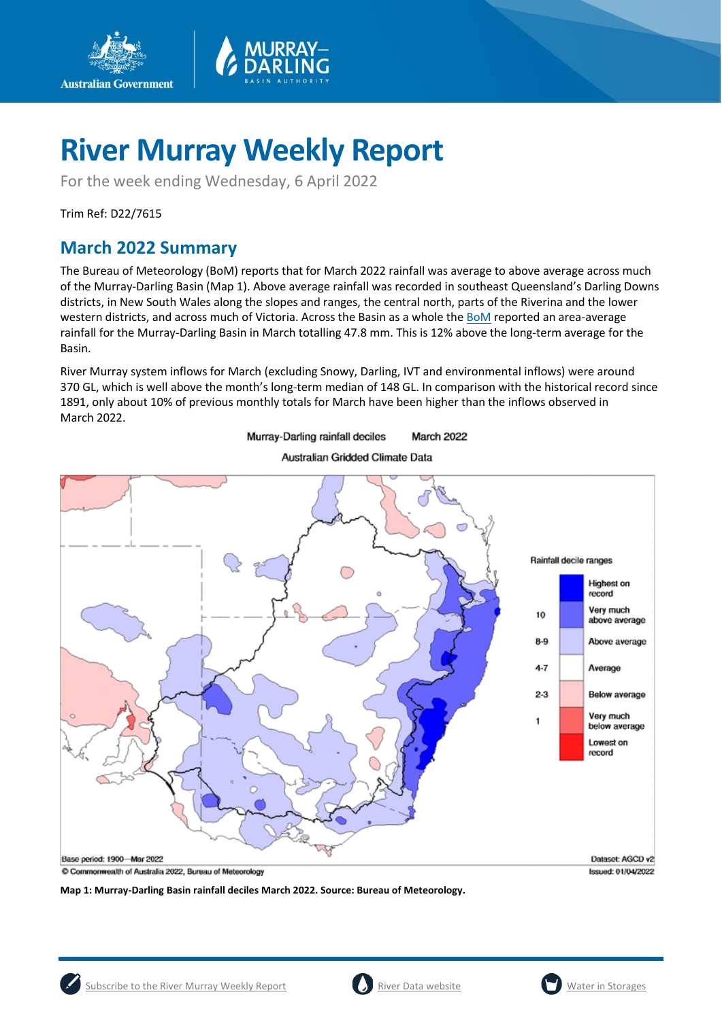

For the week ending Wednesday, 6 April 2022

Trim Ref: D22/7615

**Australian Government** 

## **March 2022 Summary**

The Bureau of Meteorology (BoM) reports that for March 2022 rainfall was average to above average across much of the Murray-Darling Basin (Map 1). Above average rainfall was recorded in southeast Queensland's Darling Downs districts, in New South Wales along the slopes and ranges, the central north, parts of the Riverina and the lower western districts, and across much of Victoria. Across the Basin as a whole th[e BoM](http://www.bom.gov.au/climate/current/month/aus/summary.shtml) reported an area-average rainfall for the Murray-Darling Basin in March totalling 47.8 mm. This is 12% above the long-term average for the Basin.

River Murray system inflows for March (excluding Snowy, Darling, IVT and environmental inflows) were around 370 GL, which is well above the month's long-term median of 148 GL. In comparison with the historical record since 1891, only about 10% of previous monthly totals for March have been higher than the inflows observed in March 2022.

> Murray-Darling rainfall deciles March 2022



Australian Gridded Climate Data

**Map 1: Murray-Darling Basin rainfall deciles March 2022. Source: Bureau of Meteorology.**

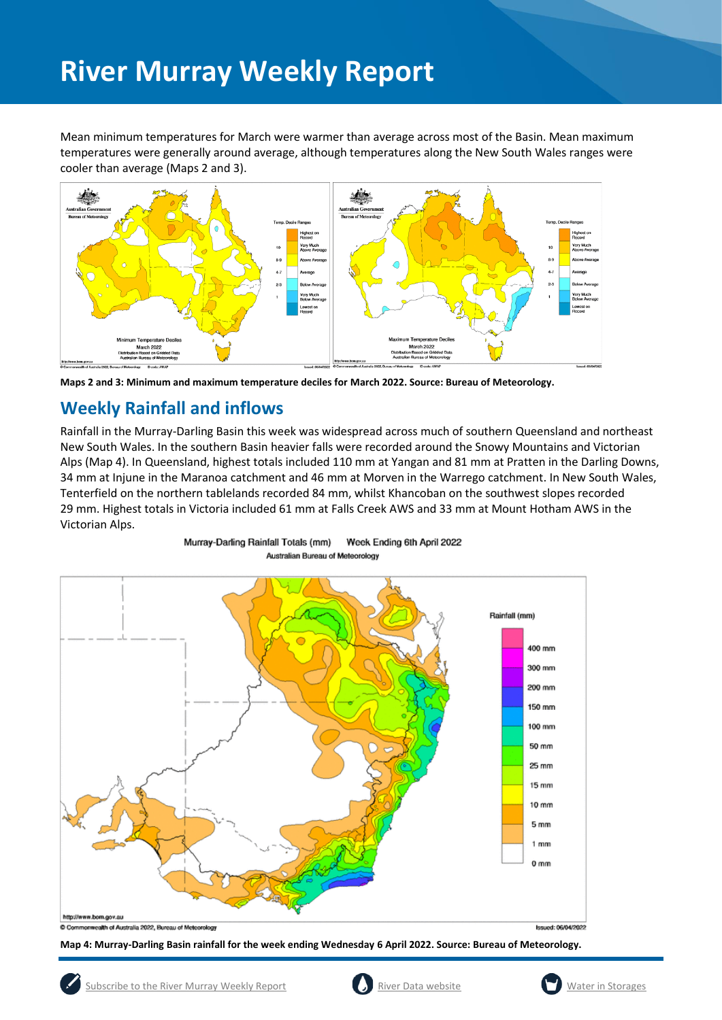Mean minimum temperatures for March were warmer than average across most of the Basin. Mean maximum temperatures were generally around average, although temperatures along the New South Wales ranges were cooler than average (Maps 2 and 3).





## **Weekly Rainfall and inflows**

Rainfall in the Murray-Darling Basin this week was widespread across much of southern Queensland and northeast New South Wales. In the southern Basin heavier falls were recorded around the Snowy Mountains and Victorian Alps (Map 4). In Queensland, highest totals included 110 mm at Yangan and 81 mm at Pratten in the Darling Downs, 34 mm at Injune in the Maranoa catchment and 46 mm at Morven in the Warrego catchment. In New South Wales, Tenterfield on the northern tablelands recorded 84 mm, whilst Khancoban on the southwest slopes recorded 29 mm. Highest totals in Victoria included 61 mm at Falls Creek AWS and 33 mm at Mount Hotham AWS in the Victorian Alps.



Week Ending 6th April 2022 Murray-Darling Rainfall Totals (mm) Australian Bureau of Meteorology

**Map 4: Murray-Darling Basin rainfall for the week ending Wednesday 6 April 2022. Source: Bureau of Meteorology.**



**Issued: 06/04/2022** 

onwealth of Australia 2022, Bureau of Meteorology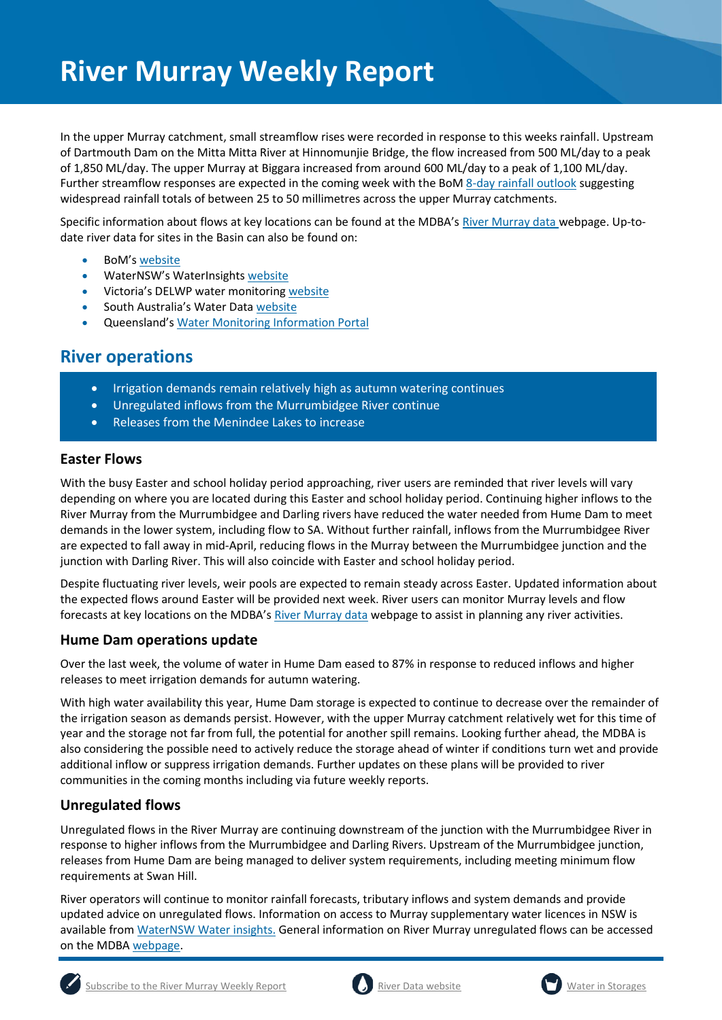In the upper Murray catchment, small streamflow rises were recorded in response to this weeks rainfall. Upstream of Dartmouth Dam on the Mitta Mitta River at Hinnomunjie Bridge, the flow increased from 500 ML/day to a peak of 1,850 ML/day. The upper Murray at Biggara increased from around 600 ML/day to a peak of 1,100 ML/day. Further streamflow responses are expected in the coming week with the Bo[M 8-day rainfall outlook](http://www.bom.gov.au/jsp/watl/rainfall/pme.jsp) suggesting widespread rainfall totals of between 25 to 50 millimetres across the upper Murray catchments.

Specific information about flows at key locations can be found at the MDBA's [River Murray data](https://riverdata.mdba.gov.au/system-view) webpage. Up-todate river data for sites in the Basin can also be found on:

- BoM's [website](http://www.bom.gov.au/cgi-bin/wrap_fwo.pl?IDV60151.html)
- WaterNSW's WaterInsights [website](https://waterinsights.waternsw.com.au/)
- Victoria's DELWP water monitoring [website](https://data.water.vic.gov.au/)
- South Australia's Water Data [website](https://water.data.sa.gov.au/Data/Map/Parameter/NoParameter/Location/Type/Interval/Latest)
- Queensland's [Water Monitoring Information Portal](https://water-monitoring.information.qld.gov.au/)

## **River operations**

- Irrigation demands remain relatively high as autumn watering continues
- Unregulated inflows from the Murrumbidgee River continue
- Releases from the Menindee Lakes to increase

## **Easter Flows**

With the busy Easter and school holiday period approaching, river users are reminded that river levels will vary depending on where you are located during this Easter and school holiday period. Continuing higher inflows to the River Murray from the Murrumbidgee and Darling rivers have reduced the water needed from Hume Dam to meet demands in the lower system, including flow to SA. Without further rainfall, inflows from the Murrumbidgee River are expected to fall away in mid-April, reducing flows in the Murray between the Murrumbidgee junction and the junction with Darling River. This will also coincide with Easter and school holiday period.

Despite fluctuating river levels, weir pools are expected to remain steady across Easter. Updated information about the expected flows around Easter will be provided next week. River users can monitor Murray levels and flow forecasts at key locations on the MDBA's [River Murray data](https://riverdata.mdba.gov.au/system-view) webpage to assist in planning any river activities.

## **Hume Dam operations update**

Over the last week, the volume of water in Hume Dam eased to 87% in response to reduced inflows and higher releases to meet irrigation demands for autumn watering.

With high water availability this year, Hume Dam storage is expected to continue to decrease over the remainder of the irrigation season as demands persist. However, with the upper Murray catchment relatively wet for this time of year and the storage not far from full, the potential for another spill remains. Looking further ahead, the MDBA is also considering the possible need to actively reduce the storage ahead of winter if conditions turn wet and provide additional inflow or suppress irrigation demands. Further updates on these plans will be provided to river communities in the coming months including via future weekly reports.

## **Unregulated flows**

Unregulated flows in the River Murray are continuing downstream of the junction with the Murrumbidgee River in response to higher inflows from the Murrumbidgee and Darling Rivers. Upstream of the Murrumbidgee junction, releases from Hume Dam are being managed to deliver system requirements, including meeting minimum flow requirements at Swan Hill.

River operators will continue to monitor rainfall forecasts, tributary inflows and system demands and provide updated advice on unregulated flows. Information on access to Murray supplementary water licences in NSW is available from [WaterNSW Water insights.](https://waterinsights.waternsw.com.au/11904-new-south-wales-murray-regulated-river/updates) General information on River Murray unregulated flows can be accessed on the MDB[A webpage.](https://www.mdba.gov.au/water-management/allocations-states-mdba/unregulated-flows-river-murray)





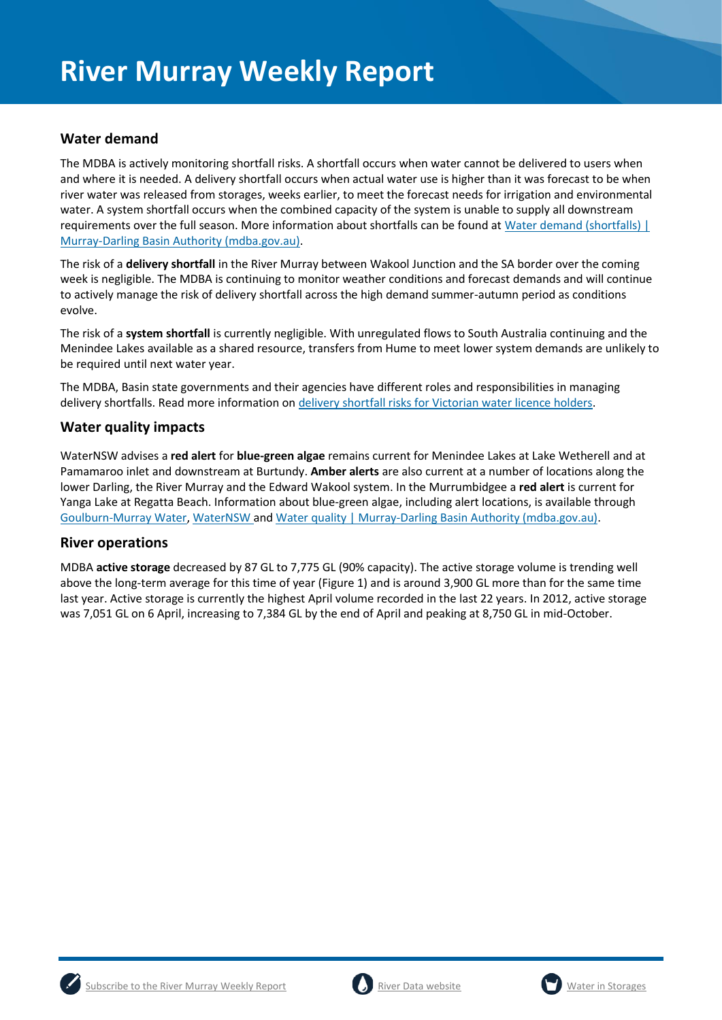## **Water demand**

The MDBA is actively monitoring shortfall risks. A shortfall occurs when water cannot be delivered to users when and where it is needed. A delivery shortfall occurs when actual water use is higher than it was forecast to be when river water was released from storages, weeks earlier, to meet the forecast needs for irrigation and environmental water. A system shortfall occurs when the combined capacity of the system is unable to supply all downstream requirements over the full season. More information about shortfalls can be found at [Water demand \(shortfalls\) |](https://www.mdba.gov.au/water-management/river-operations/water-demand-shortfalls)  [Murray-Darling Basin Authority \(mdba.gov.au\).](https://www.mdba.gov.au/water-management/river-operations/water-demand-shortfalls)

The risk of a **delivery shortfall** in the River Murray between Wakool Junction and the SA border over the coming week is negligible. The MDBA is continuing to monitor weather conditions and forecast demands and will continue to actively manage the risk of delivery shortfall across the high demand summer-autumn period as conditions evolve.

The risk of a **system shortfall** is currently negligible. With unregulated flows to South Australia continuing and the Menindee Lakes available as a shared resource, transfers from Hume to meet lower system demands are unlikely to be required until next water year.

The MDBA, Basin state governments and their agencies have different roles and responsibilities in managing delivery shortfalls. Read more information on [delivery shortfall risks for Victorian water licence holders.](https://www.waterregister.vic.gov.au/about/news/366-new-fact-sheets-on-shortfalls-in-the-murray-below-barmah-2)

## **Water quality impacts**

WaterNSW advises a **red alert** for **blue-green algae** remains current for Menindee Lakes at Lake Wetherell and at Pamamaroo inlet and downstream at Burtundy. **Amber alerts** are also current at a number of locations along the lower Darling, the River Murray and the Edward Wakool system. In the Murrumbidgee a **red alert** is current for Yanga Lake at Regatta Beach. Information about blue-green algae, including alert locations, is available through [Goulburn-Murray Water,](https://www.g-mwater.com.au/news/bga) [WaterNSW](https://www.waternsw.com.au/water-quality/algae) an[d Water quality | Murray-Darling Basin Authority \(mdba.gov.au\).](https://www.mdba.gov.au/water-management/mdbas-river-operations/water-quality)

## **River operations**

MDBA **active storage** decreased by 87 GL to 7,775 GL (90% capacity). The active storage volume is trending well above the long-term average for this time of year (Figure 1) and is around 3,900 GL more than for the same time last year. Active storage is currently the highest April volume recorded in the last 22 years. In 2012, active storage was 7,051 GL on 6 April, increasing to 7,384 GL by the end of April and peaking at 8,750 GL in mid-October.



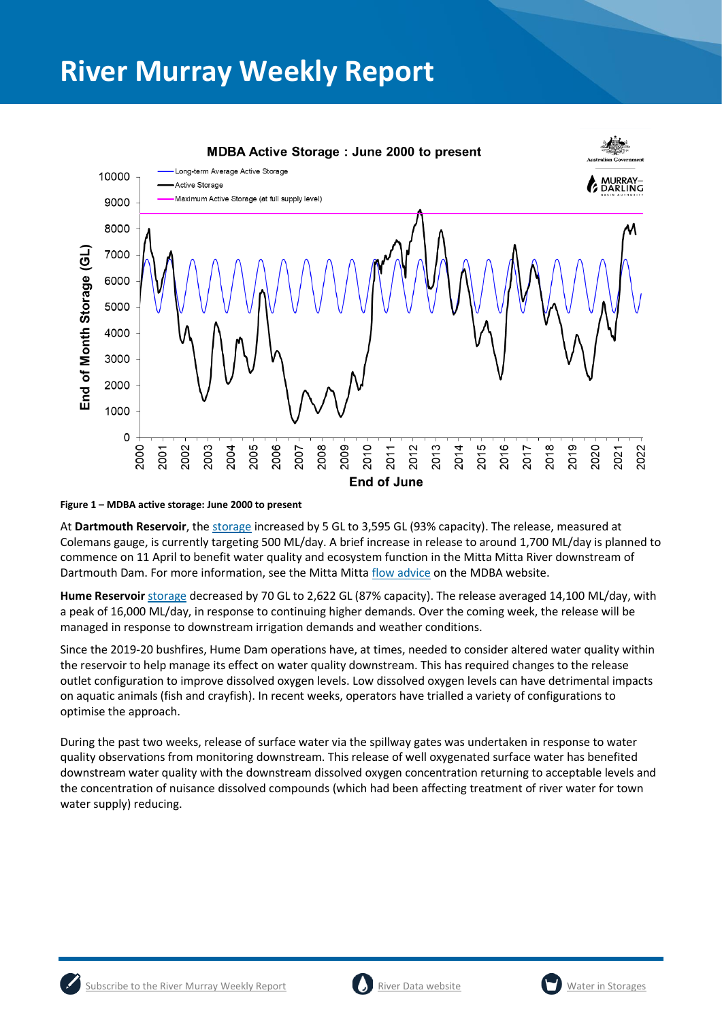

**Figure 1 – MDBA active storage: June 2000 to present**

At **Dartmouth Reservoir**, the [storage](https://riverdata.mdba.gov.au/dartmouth-dam) increased by 5 GL to 3,595 GL (93% capacity). The release, measured at Colemans gauge, is currently targeting 500 ML/day. A brief increase in release to around 1,700 ML/day is planned to commence on 11 April to benefit water quality and ecosystem function in the Mitta Mitta River downstream of Dartmouth Dam. For more information, see the Mitta Mitt[a flow advice](https://www.mdba.gov.au/mitta-mitta-flow-advice-6-apr-2022) on the MDBA website.

**Hume Reservoir** [storage](https://livedata.mdba.gov.au/hume-dam) decreased by 70 GL to 2,622 GL (87% capacity). The release averaged 14,100 ML/day, with a peak of 16,000 ML/day, in response to continuing higher demands. Over the coming week, the release will be managed in response to downstream irrigation demands and weather conditions.

Since the 2019-20 bushfires, Hume Dam operations have, at times, needed to consider altered water quality within the reservoir to help manage its effect on water quality downstream. This has required changes to the release outlet configuration to improve dissolved oxygen levels. Low dissolved oxygen levels can have detrimental impacts on aquatic animals (fish and crayfish). In recent weeks, operators have trialled a variety of configurations to optimise the approach.

During the past two weeks, release of surface water via the spillway gates was undertaken in response to water quality observations from monitoring downstream. This release of well oxygenated surface water has benefited downstream water quality with the downstream dissolved oxygen concentration returning to acceptable levels and the concentration of nuisance dissolved compounds (which had been affecting treatment of river water for town water supply) reducing.





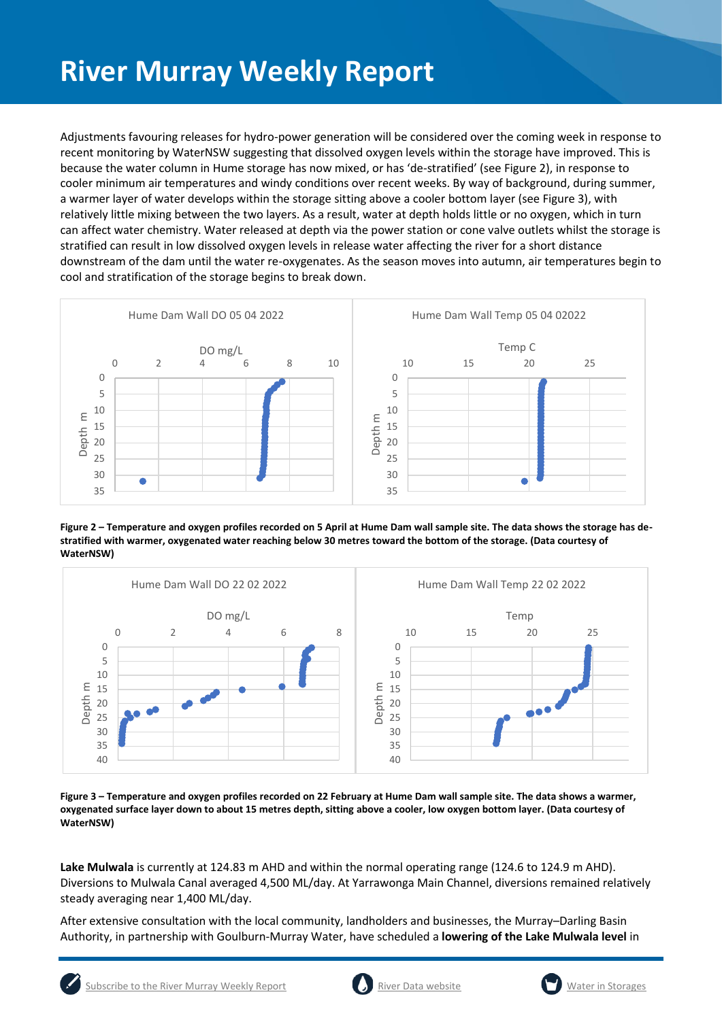Adjustments favouring releases for hydro-power generation will be considered over the coming week in response to recent monitoring by WaterNSW suggesting that dissolved oxygen levels within the storage have improved. This is because the water column in Hume storage has now mixed, or has 'de-stratified' (see Figure 2), in response to cooler minimum air temperatures and windy conditions over recent weeks. By way of background, during summer, a warmer layer of water develops within the storage sitting above a cooler bottom layer (see Figure 3), with relatively little mixing between the two layers. As a result, water at depth holds little or no oxygen, which in turn can affect water chemistry. Water released at depth via the power station or cone valve outlets whilst the storage is stratified can result in low dissolved oxygen levels in release water affecting the river for a short distance downstream of the dam until the water re-oxygenates. As the season moves into autumn, air temperatures begin to cool and stratification of the storage begins to break down.



**Figure 2 – Temperature and oxygen profiles recorded on 5 April at Hume Dam wall sample site. The data shows the storage has destratified with warmer, oxygenated water reaching below 30 metres toward the bottom of the storage. (Data courtesy of WaterNSW)**



**Figure 3 – Temperature and oxygen profiles recorded on 22 February at Hume Dam wall sample site. The data shows a warmer, oxygenated surface layer down to about 15 metres depth, sitting above a cooler, low oxygen bottom layer. (Data courtesy of WaterNSW)**

**Lake Mulwala** is currently at 124.83 m AHD and within the normal operating range (124.6 to 124.9 m AHD). Diversions to Mulwala Canal averaged 4,500 ML/day. At Yarrawonga Main Channel, diversions remained relatively steady averaging near 1,400 ML/day.

After extensive consultation with the local community, landholders and businesses, the Murray–Darling Basin Authority, in partnership with Goulburn-Murray Water, have scheduled a **lowering of the Lake Mulwala level** in





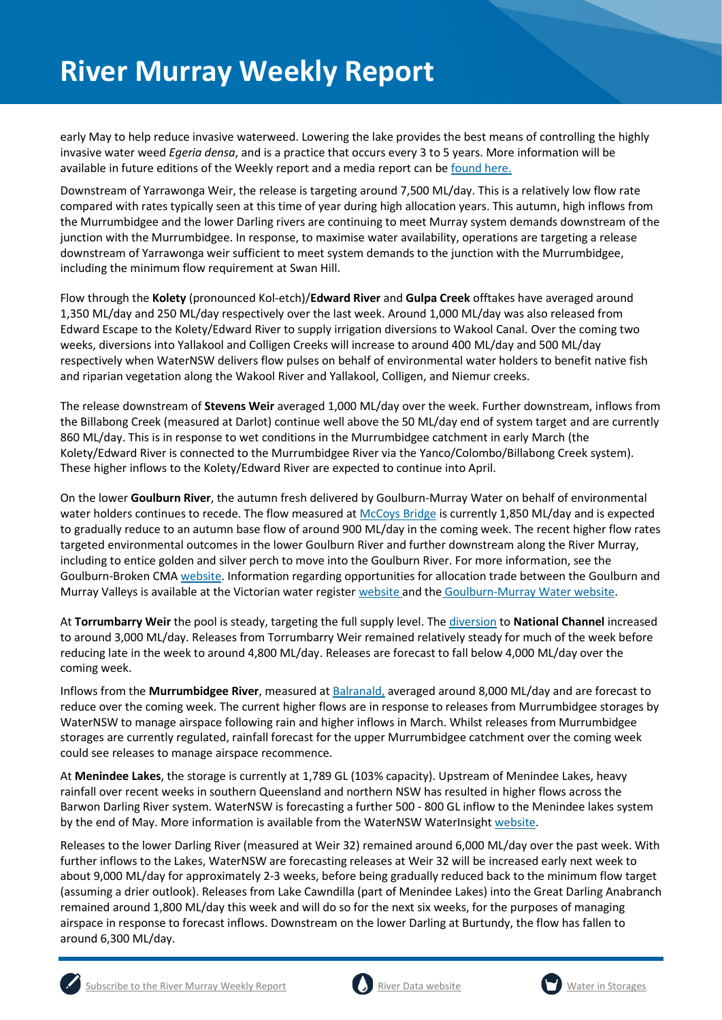early May to help reduce invasive waterweed. Lowering the lake provides the best means of controlling the highly invasive water weed *Egeria densa*, and is a practice that occurs every 3 to 5 years. More information will be available in future editions of the Weekly report and a media report can be [found here.](https://www.mdba.gov.au/news-media-events/newsroom/media-centre/joint-media-release-lake-mulwala-lowering-start-may-control)

Downstream of Yarrawonga Weir, the release is targeting around 7,500 ML/day. This is a relatively low flow rate compared with rates typically seen at this time of year during high allocation years. This autumn, high inflows from the Murrumbidgee and the lower Darling rivers are continuing to meet Murray system demands downstream of the junction with the Murrumbidgee. In response, to maximise water availability, operations are targeting a release downstream of Yarrawonga weir sufficient to meet system demands to the junction with the Murrumbidgee, including the minimum flow requirement at Swan Hill.

Flow through the **Kolety** (pronounced Kol-etch)/**Edward River** and **Gulpa Creek** offtakes have averaged around 1,350 ML/day and 250 ML/day respectively over the last week. Around 1,000 ML/day was also released from Edward Escape to the Kolety/Edward River to supply irrigation diversions to Wakool Canal. Over the coming two weeks, diversions into Yallakool and Colligen Creeks will increase to around 400 ML/day and 500 ML/day respectively when WaterNSW delivers flow pulses on behalf of environmental water holders to benefit native fish and riparian vegetation along the Wakool River and Yallakool, Colligen, and Niemur creeks.

The release downstream of **Stevens Weir** averaged 1,000 ML/day over the week. Further downstream, inflows from the Billabong Creek (measured at Darlot) continue well above the 50 ML/day end of system target and are currently 860 ML/day. This is in response to wet conditions in the Murrumbidgee catchment in early March (the Kolety/Edward River is connected to the Murrumbidgee River via the Yanco/Colombo/Billabong Creek system). These higher inflows to the Kolety/Edward River are expected to continue into April.

On the lower **Goulburn River**, the autumn fresh delivered by Goulburn-Murray Water on behalf of environmental water holders continues to recede. The flow measured a[t McCoys Bridge](https://riverdata.mdba.gov.au/mccoy-bridge) is currently 1,850 ML/day and is expected to gradually reduce to an autumn base flow of around 900 ML/day in the coming week. The recent higher flow rates targeted environmental outcomes in the lower Goulburn River and further downstream along the River Murray, including to entice golden and silver perch to move into the Goulburn River. For more information, see the Goulburn-Broken CMA [website.](https://www.gbcma.vic.gov.au/news_events/water-for-the-environment-to-give-fish-new-home-in-lower-goulburn-river.html) Information regarding opportunities for allocation trade between the Goulburn and Murray Valleys is available at the Victorian water register [website](http://waterregister.vic.gov.au/water-trading/allocation-trading) and the [Goulburn-Murray Water website.](https://www.g-mwater.com.au/water-resources/managing-water-storages)

At **Torrumbarry Weir** the pool is steady, targeting the full supply level. Th[e diversion](https://riverdata.mdba.gov.au/national-channel-ds-torrumbarry-headworks) to **National Channel** increased to around 3,000 ML/day. Releases from Torrumbarry Weir remained relatively steady for much of the week before reducing late in the week to around 4,800 ML/day. Releases are forecast to fall below 4,000 ML/day over the coming week.

Inflows from the **Murrumbidgee River**, measured a[t Balranald,](https://riverdata.mdba.gov.au/balranald-weir-downstream) averaged around 8,000 ML/day and are forecast to reduce over the coming week. The current higher flows are in response to releases from Murrumbidgee storages by WaterNSW to manage airspace following rain and higher inflows in March. Whilst releases from Murrumbidgee storages are currently regulated, rainfall forecast for the upper Murrumbidgee catchment over the coming week could see releases to manage airspace recommence.

At **Menindee Lakes**, the storage is currently at 1,789 GL (103% capacity). Upstream of Menindee Lakes, heavy rainfall over recent weeks in southern Queensland and northern NSW has resulted in higher flows across the Barwon Darling River system. WaterNSW is forecasting a further 500 - 800 GL inflow to the Menindee lakes system by the end of May. More information is available from the WaterNSW WaterInsight [website.](https://waterinsights.waternsw.com.au/12104-lower-darling-regulated-river/updates)

Releases to the lower Darling River (measured at Weir 32) remained around 6,000 ML/day over the past week. With further inflows to the Lakes, WaterNSW are forecasting releases at Weir 32 will be increased early next week to about 9,000 ML/day for approximately 2-3 weeks, before being gradually reduced back to the minimum flow target (assuming a drier outlook). Releases from Lake Cawndilla (part of Menindee Lakes) into the Great Darling Anabranch remained around 1,800 ML/day this week and will do so for the next six weeks, for the purposes of managing airspace in response to forecast inflows. Downstream on the lower Darling at Burtundy, the flow has fallen to around 6,300 ML/day.



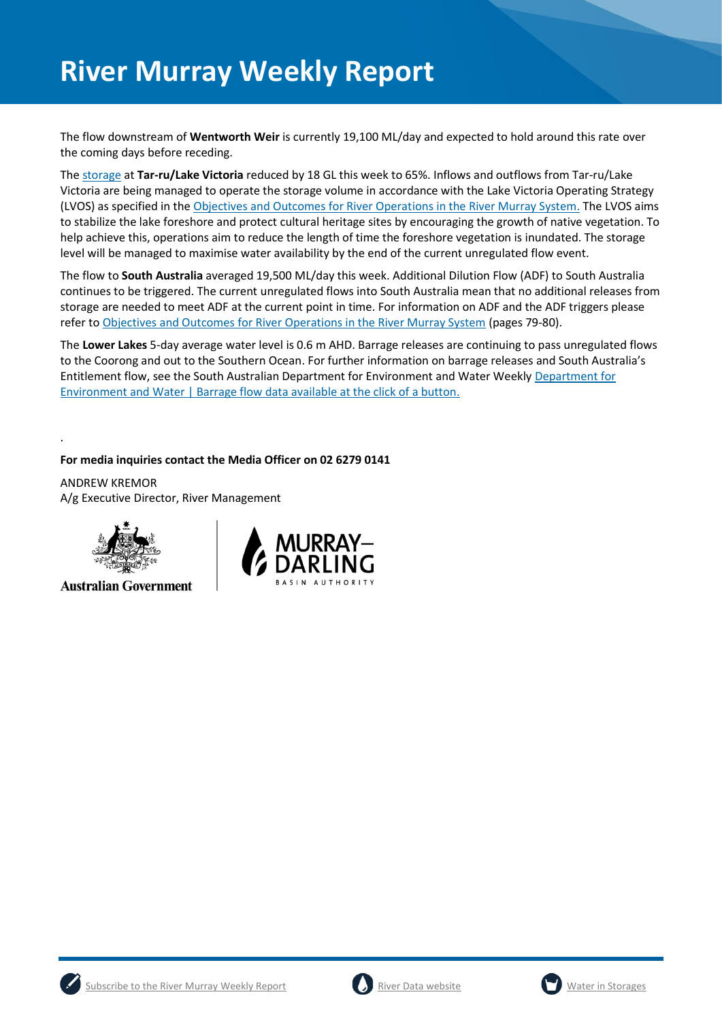The flow downstream of **Wentworth Weir** is currently 19,100 ML/day and expected to hold around this rate over the coming days before receding.

The [storage](https://riverdata.mdba.gov.au/lake-victoria) at **Tar-ru/Lake Victoria** reduced by 18 GL this week to 65%. Inflows and outflows from Tar-ru/Lake Victoria are being managed to operate the storage volume in accordance with the Lake Victoria Operating Strategy (LVOS) as specified in th[e Objectives and Outcomes for River Operations in the River Murray System.](https://www.mdba.gov.au/publications/mdba-reports/objectives-outcomes-river-operations-river-murray-system) The LVOS aims to stabilize the lake foreshore and protect cultural heritage sites by encouraging the growth of native vegetation. To help achieve this, operations aim to reduce the length of time the foreshore vegetation is inundated. The storage level will be managed to maximise water availability by the end of the current unregulated flow event.

The flow to **South Australia** averaged 19,500 ML/day this week. Additional Dilution Flow (ADF) to South Australia continues to be triggered. The current unregulated flows into South Australia mean that no additional releases from storage are needed to meet ADF at the current point in time. For information on ADF and the ADF triggers please refer t[o Objectives and Outcomes for River Operations in the River Murray System](https://www.mdba.gov.au/publications/mdba-reports/objectives-outcomes-river-operations-river-murray-system) (pages 79-80).

The **Lower Lakes** 5-day average water level is 0.6 m AHD. Barrage releases are continuing to pass unregulated flows to the Coorong and out to the Southern Ocean. For further information on barrage releases and South Australia's Entitlement flow, see the South Australian Department for Environment and Water Weekly [Department for](https://www.environment.sa.gov.au/news-hub/news/articles/2021/11/Daily-barrage-data)  [Environment and Water | Barrage flow data available at the click of a button.](https://www.environment.sa.gov.au/news-hub/news/articles/2021/11/Daily-barrage-data)

**For media inquiries contact the Media Officer on 02 6279 0141**

ANDREW KREMOR A/g Executive Director, River Management



.

**Australian Government** 







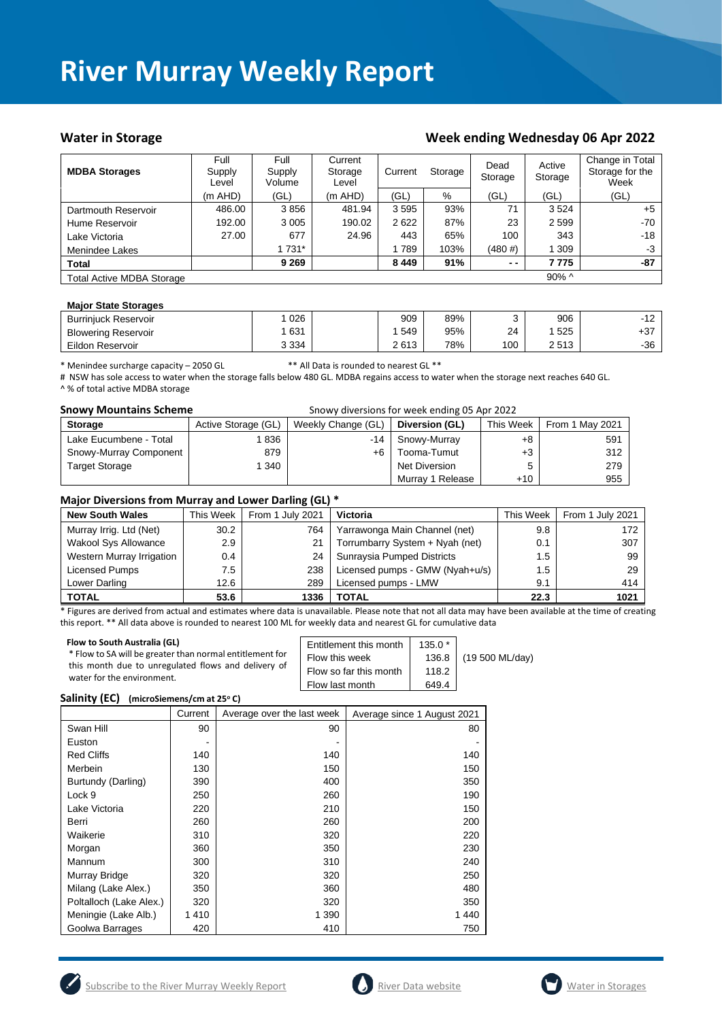## Water in Storage Week ending Week ending Wednesday 06 Apr 2022

| <b>MDBA Storages</b>             | Full<br>Supply<br>Level | Full<br>Supply<br>Volume | Current<br>Storage<br>Level | Current<br>Storage |      |            |          | Dead<br>Storage | Active<br>Storage | Change in Total<br>Storage for the<br>Week |
|----------------------------------|-------------------------|--------------------------|-----------------------------|--------------------|------|------------|----------|-----------------|-------------------|--------------------------------------------|
|                                  | $(m$ AHD)               | (GL)                     | (m AHD)                     | (GL)               | %    | (GL)       | (GL)     | (GL)            |                   |                                            |
| Dartmouth Reservoir              | 486.00                  | 3856                     | 481.94                      | 3595               | 93%  | 71         | 3524     | $+5$            |                   |                                            |
| Hume Reservoir                   | 192.00                  | 3 0 0 5                  | 190.02                      | 2622               | 87%  | 23         | 2 5 9 9  | -70             |                   |                                            |
| Lake Victoria                    | 27.00                   | 677                      | 24.96                       | 443                | 65%  | 100        | 343      | -18             |                   |                                            |
| Menindee Lakes                   |                         | 1 731*                   |                             | 789                | 103% | $(480 \#)$ | 1 309    | $-3$            |                   |                                            |
| <b>Total</b>                     |                         | 9 2 6 9                  |                             | 8449               | 91%  | $ -$       | 7 7 7 5  | -87             |                   |                                            |
| <b>Total Active MDBA Storage</b> |                         |                          |                             |                    |      |            | $90\%$ ^ |                 |                   |                                            |

### **Major State Storages**

| <b>Burriniuck Reservoir</b> | 026     | 909  | 89% |     | 906  | 10<br>-<br>╶╹ |
|-----------------------------|---------|------|-----|-----|------|---------------|
| <b>Blowering Reservoir</b>  | 631     | 549  | 95% | 24  | 525  | $+37$         |
| Eildon Reservoir            | 3 3 3 4 | 2613 | 78% | 100 | 2513 | -36           |

\* Menindee surcharge capacity – 2050 GL \*\* All Data is rounded to nearest GL \*\*

# NSW has sole access to water when the storage falls below 480 GL. MDBA regains access to water when the storage next reaches 640 GL. ^ % of total active MDBA storage

| <b>Snowy Mountains Scheme</b><br>Snowy diversions for week ending 05 Apr 2022 |                     |                    |                  |           |                 |  |
|-------------------------------------------------------------------------------|---------------------|--------------------|------------------|-----------|-----------------|--|
| <b>Storage</b>                                                                | Active Storage (GL) | Weekly Change (GL) | Diversion (GL)   | This Week | From 1 May 2021 |  |
| Lake Eucumbene - Total                                                        | 836                 | -14                | Snowy-Murray     | +8        | 591             |  |
| Snowy-Murray Component                                                        | 879                 | +6                 | Tooma-Tumut      | +3        | 312             |  |
| <b>Target Storage</b>                                                         | 1 340               |                    | Net Diversion    | 5         | 279             |  |
|                                                                               |                     |                    | Murray 1 Release | $+10$     | 955             |  |

## **Major Diversions from Murray and Lower Darling (GL) \***

| <b>New South Wales</b>      | This Week     | From 1 July 2021 | Victoria                        | This Week | From 1 July 2021 |
|-----------------------------|---------------|------------------|---------------------------------|-----------|------------------|
| Murray Irrig. Ltd (Net)     | 30.2          | 764              | Yarrawonga Main Channel (net)   | 9.8       | 172              |
| <b>Wakool Sys Allowance</b> | 2.9           | 21               | Torrumbarry System + Nyah (net) | 0.1       | 307              |
| Western Murray Irrigation   | $0.4^{\circ}$ | 24               | Sunraysia Pumped Districts      | 1.5       | 99               |
| Licensed Pumps              | 7.5           | 238              | Licensed pumps - GMW (Nyah+u/s) | 1.5       | 29               |
| Lower Darling               | 12.6          | 289              | Licensed pumps - LMW            | 9.1       | 414              |
| <b>TOTAL</b>                | 53.6          | 1336             | <b>TOTAL</b>                    | 22.3      | 1021             |

\* Figures are derived from actual and estimates where data is unavailable. Please note that not all data may have been available at the time of creating this report. \*\* All data above is rounded to nearest 100 ML for weekly data and nearest GL for cumulative data

| Flow to South Australia (GL)                             | Entitlement this month | $135.0*$ | (19 500 ML/day) |
|----------------------------------------------------------|------------------------|----------|-----------------|
| * Flow to SA will be greater than normal entitlement for | Flow this week         | 136.8    |                 |
| this month due to unregulated flows and delivery of      | Flow so far this month | 118.2    |                 |
| water for the environment.                               | Flow last month        | 649.4    |                 |

### **Salinity (EC) (microSiemens/cm at 25<sup>o</sup> C)**

|                         | Current | Average over the last week | Average since 1 August 2021 |
|-------------------------|---------|----------------------------|-----------------------------|
| Swan Hill               | 90      | 90                         | 80                          |
| Euston                  |         |                            |                             |
| <b>Red Cliffs</b>       | 140     | 140                        | 140                         |
| Merbein                 | 130     | 150                        | 150                         |
| Burtundy (Darling)      | 390     | 400                        | 350                         |
| Lock 9                  | 250     | 260                        | 190                         |
| Lake Victoria           | 220     | 210                        | 150                         |
| Berri                   | 260     | 260                        | 200                         |
| Waikerie                | 310     | 320                        | 220                         |
| Morgan                  | 360     | 350                        | 230                         |
| Mannum                  | 300     | 310                        | 240                         |
| Murray Bridge           | 320     | 320                        | 250                         |
| Milang (Lake Alex.)     | 350     | 360                        | 480                         |
| Poltalloch (Lake Alex.) | 320     | 320                        | 350                         |
| Meningie (Lake Alb.)    | 1410    | 1 3 9 0                    | 1440                        |
| Goolwa Barrages         | 420     | 410                        | 750                         |





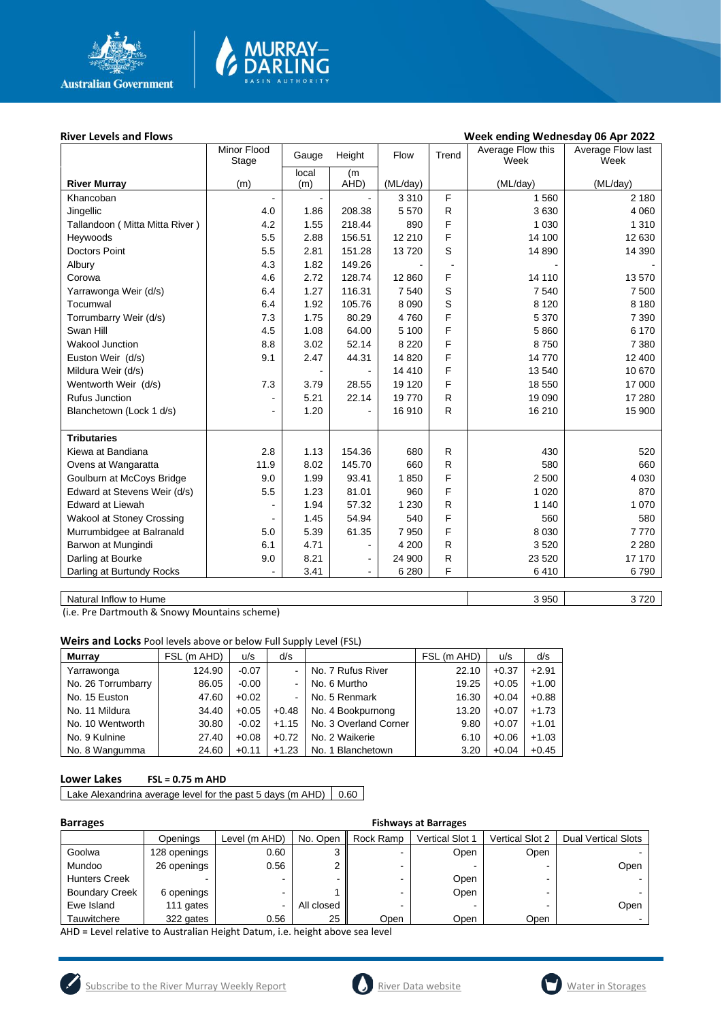

# **MURRAY-<br>DARLING**

## River Levels and Flows **River Levels and Flows Week ending Wednesday 06 Apr 2022**

| (m)<br>local<br>(m)<br>(m)<br>AHD)<br>(ML/day)<br>(ML/day)<br>(ML/day)<br><b>River Murray</b><br>F<br>1 560<br>3 3 1 0<br>2 1 8 0<br>Khancoban<br>5570<br>$\mathsf{R}$<br>3630<br>4 0 6 0<br>Jingellic<br>4.0<br>1.86<br>208.38<br>F<br>4.2<br>218.44<br>890<br>1 0 3 0<br>1 3 1 0<br>Tallandoon (Mitta Mitta River)<br>1.55<br>F<br>Heywoods<br>5.5<br>2.88<br>156.51<br>12 210<br>14 100<br>12 630<br>$\mathbb S$<br>5.5<br>151.28<br>14 390<br><b>Doctors Point</b><br>2.81<br>13720<br>14 890<br>4.3<br>1.82<br>149.26<br>Albury<br>F<br>4.6<br>2.72<br>128.74<br>14 110<br>13 570<br>Corowa<br>12 860<br>S<br>1.27<br>116.31<br>6.4<br>7 5 4 0<br>7 5 4 0<br>7 500<br>Yarrawonga Weir (d/s)<br>$\mathbf S$<br>6.4<br>1.92<br>105.76<br>8 0 9 0<br>8 1 2 0<br>8 1 8 0<br>Tocumwal<br>F<br>5 3 7 0<br>7.3<br>1.75<br>80.29<br>4760<br>7 3 9 0<br>Torrumbarry Weir (d/s)<br>F<br>6 170<br>Swan Hill<br>4.5<br>1.08<br>64.00<br>5 100<br>5860<br>F<br>8.8<br>3.02<br>52.14<br><b>Wakool Junction</b><br>8 2 2 0<br>8750<br>7 3 8 0<br>F<br>9.1<br>2.47<br>14 770<br>Euston Weir (d/s)<br>44.31<br>14 8 20<br>12 400<br>F<br>Mildura Weir (d/s)<br>14 4 10<br>13 540<br>10 670<br>F<br>17 000<br>Wentworth Weir (d/s)<br>7.3<br>3.79<br>28.55<br>19 120<br>18 550<br>${\sf R}$<br><b>Rufus Junction</b><br>5.21<br>19 090<br>22.14<br>19770<br>17 280<br>$\overline{\phantom{0}}$<br>R<br>16 210<br>1.20<br>16 910<br>15 900<br>Blanchetown (Lock 1 d/s)<br>$\overline{\phantom{a}}$<br><b>Tributaries</b><br>154.36<br>$\mathsf{R}$<br>430<br>Kiewa at Bandiana<br>2.8<br>1.13<br>680<br>520<br>R<br>11.9<br>8.02<br>145.70<br>660<br>580<br>Ovens at Wangaratta<br>660<br>F<br>Goulburn at McCoys Bridge<br>9.0<br>1.99<br>93.41<br>1850<br>2 500<br>4 0 3 0<br>F<br>Edward at Stevens Weir (d/s)<br>5.5<br>1.23<br>81.01<br>960<br>1 0 2 0<br>870<br>${\sf R}$<br><b>Edward at Liewah</b><br>1.94<br>57.32<br>1 2 3 0<br>1 1 4 0<br>1 0 7 0<br>F<br>Wakool at Stoney Crossing<br>1.45<br>54.94<br>540<br>560<br>580<br>F<br>Murrumbidgee at Balranald<br>5.0<br>5.39<br>61.35<br>7950<br>8 0 3 0<br>7770<br>Barwon at Mungindi<br>6.1<br>4.71<br>$\mathsf{R}$<br>3520<br>2 2 8 0<br>4 200<br>$\blacksquare$<br>R<br>Darling at Bourke<br>8.21<br>23 5 20<br>17 170<br>9.0<br>24 900<br>$\blacksquare$<br>F<br>Darling at Burtundy Rocks<br>3.41<br>6410<br>6 2 8 0<br>6790<br>$\blacksquare$ | Minor Flood<br>Stage | Gauge | Height | Flow | Trend | Average Flow this<br>Week | Average Flow last<br>Week |
|-------------------------------------------------------------------------------------------------------------------------------------------------------------------------------------------------------------------------------------------------------------------------------------------------------------------------------------------------------------------------------------------------------------------------------------------------------------------------------------------------------------------------------------------------------------------------------------------------------------------------------------------------------------------------------------------------------------------------------------------------------------------------------------------------------------------------------------------------------------------------------------------------------------------------------------------------------------------------------------------------------------------------------------------------------------------------------------------------------------------------------------------------------------------------------------------------------------------------------------------------------------------------------------------------------------------------------------------------------------------------------------------------------------------------------------------------------------------------------------------------------------------------------------------------------------------------------------------------------------------------------------------------------------------------------------------------------------------------------------------------------------------------------------------------------------------------------------------------------------------------------------------------------------------------------------------------------------------------------------------------------------------------------------------------------------------------------------------------------------------------------------------------------------------------------------------------------------------------------------------------------------------------------------------------------------------------------------------------------------------------------------------------|----------------------|-------|--------|------|-------|---------------------------|---------------------------|
|                                                                                                                                                                                                                                                                                                                                                                                                                                                                                                                                                                                                                                                                                                                                                                                                                                                                                                                                                                                                                                                                                                                                                                                                                                                                                                                                                                                                                                                                                                                                                                                                                                                                                                                                                                                                                                                                                                                                                                                                                                                                                                                                                                                                                                                                                                                                                                                                 |                      |       |        |      |       |                           |                           |
|                                                                                                                                                                                                                                                                                                                                                                                                                                                                                                                                                                                                                                                                                                                                                                                                                                                                                                                                                                                                                                                                                                                                                                                                                                                                                                                                                                                                                                                                                                                                                                                                                                                                                                                                                                                                                                                                                                                                                                                                                                                                                                                                                                                                                                                                                                                                                                                                 |                      |       |        |      |       |                           |                           |
|                                                                                                                                                                                                                                                                                                                                                                                                                                                                                                                                                                                                                                                                                                                                                                                                                                                                                                                                                                                                                                                                                                                                                                                                                                                                                                                                                                                                                                                                                                                                                                                                                                                                                                                                                                                                                                                                                                                                                                                                                                                                                                                                                                                                                                                                                                                                                                                                 |                      |       |        |      |       |                           |                           |
|                                                                                                                                                                                                                                                                                                                                                                                                                                                                                                                                                                                                                                                                                                                                                                                                                                                                                                                                                                                                                                                                                                                                                                                                                                                                                                                                                                                                                                                                                                                                                                                                                                                                                                                                                                                                                                                                                                                                                                                                                                                                                                                                                                                                                                                                                                                                                                                                 |                      |       |        |      |       |                           |                           |
|                                                                                                                                                                                                                                                                                                                                                                                                                                                                                                                                                                                                                                                                                                                                                                                                                                                                                                                                                                                                                                                                                                                                                                                                                                                                                                                                                                                                                                                                                                                                                                                                                                                                                                                                                                                                                                                                                                                                                                                                                                                                                                                                                                                                                                                                                                                                                                                                 |                      |       |        |      |       |                           |                           |
|                                                                                                                                                                                                                                                                                                                                                                                                                                                                                                                                                                                                                                                                                                                                                                                                                                                                                                                                                                                                                                                                                                                                                                                                                                                                                                                                                                                                                                                                                                                                                                                                                                                                                                                                                                                                                                                                                                                                                                                                                                                                                                                                                                                                                                                                                                                                                                                                 |                      |       |        |      |       |                           |                           |
|                                                                                                                                                                                                                                                                                                                                                                                                                                                                                                                                                                                                                                                                                                                                                                                                                                                                                                                                                                                                                                                                                                                                                                                                                                                                                                                                                                                                                                                                                                                                                                                                                                                                                                                                                                                                                                                                                                                                                                                                                                                                                                                                                                                                                                                                                                                                                                                                 |                      |       |        |      |       |                           |                           |
|                                                                                                                                                                                                                                                                                                                                                                                                                                                                                                                                                                                                                                                                                                                                                                                                                                                                                                                                                                                                                                                                                                                                                                                                                                                                                                                                                                                                                                                                                                                                                                                                                                                                                                                                                                                                                                                                                                                                                                                                                                                                                                                                                                                                                                                                                                                                                                                                 |                      |       |        |      |       |                           |                           |
|                                                                                                                                                                                                                                                                                                                                                                                                                                                                                                                                                                                                                                                                                                                                                                                                                                                                                                                                                                                                                                                                                                                                                                                                                                                                                                                                                                                                                                                                                                                                                                                                                                                                                                                                                                                                                                                                                                                                                                                                                                                                                                                                                                                                                                                                                                                                                                                                 |                      |       |        |      |       |                           |                           |
|                                                                                                                                                                                                                                                                                                                                                                                                                                                                                                                                                                                                                                                                                                                                                                                                                                                                                                                                                                                                                                                                                                                                                                                                                                                                                                                                                                                                                                                                                                                                                                                                                                                                                                                                                                                                                                                                                                                                                                                                                                                                                                                                                                                                                                                                                                                                                                                                 |                      |       |        |      |       |                           |                           |
|                                                                                                                                                                                                                                                                                                                                                                                                                                                                                                                                                                                                                                                                                                                                                                                                                                                                                                                                                                                                                                                                                                                                                                                                                                                                                                                                                                                                                                                                                                                                                                                                                                                                                                                                                                                                                                                                                                                                                                                                                                                                                                                                                                                                                                                                                                                                                                                                 |                      |       |        |      |       |                           |                           |
|                                                                                                                                                                                                                                                                                                                                                                                                                                                                                                                                                                                                                                                                                                                                                                                                                                                                                                                                                                                                                                                                                                                                                                                                                                                                                                                                                                                                                                                                                                                                                                                                                                                                                                                                                                                                                                                                                                                                                                                                                                                                                                                                                                                                                                                                                                                                                                                                 |                      |       |        |      |       |                           |                           |
|                                                                                                                                                                                                                                                                                                                                                                                                                                                                                                                                                                                                                                                                                                                                                                                                                                                                                                                                                                                                                                                                                                                                                                                                                                                                                                                                                                                                                                                                                                                                                                                                                                                                                                                                                                                                                                                                                                                                                                                                                                                                                                                                                                                                                                                                                                                                                                                                 |                      |       |        |      |       |                           |                           |
|                                                                                                                                                                                                                                                                                                                                                                                                                                                                                                                                                                                                                                                                                                                                                                                                                                                                                                                                                                                                                                                                                                                                                                                                                                                                                                                                                                                                                                                                                                                                                                                                                                                                                                                                                                                                                                                                                                                                                                                                                                                                                                                                                                                                                                                                                                                                                                                                 |                      |       |        |      |       |                           |                           |
|                                                                                                                                                                                                                                                                                                                                                                                                                                                                                                                                                                                                                                                                                                                                                                                                                                                                                                                                                                                                                                                                                                                                                                                                                                                                                                                                                                                                                                                                                                                                                                                                                                                                                                                                                                                                                                                                                                                                                                                                                                                                                                                                                                                                                                                                                                                                                                                                 |                      |       |        |      |       |                           |                           |
|                                                                                                                                                                                                                                                                                                                                                                                                                                                                                                                                                                                                                                                                                                                                                                                                                                                                                                                                                                                                                                                                                                                                                                                                                                                                                                                                                                                                                                                                                                                                                                                                                                                                                                                                                                                                                                                                                                                                                                                                                                                                                                                                                                                                                                                                                                                                                                                                 |                      |       |        |      |       |                           |                           |
|                                                                                                                                                                                                                                                                                                                                                                                                                                                                                                                                                                                                                                                                                                                                                                                                                                                                                                                                                                                                                                                                                                                                                                                                                                                                                                                                                                                                                                                                                                                                                                                                                                                                                                                                                                                                                                                                                                                                                                                                                                                                                                                                                                                                                                                                                                                                                                                                 |                      |       |        |      |       |                           |                           |
|                                                                                                                                                                                                                                                                                                                                                                                                                                                                                                                                                                                                                                                                                                                                                                                                                                                                                                                                                                                                                                                                                                                                                                                                                                                                                                                                                                                                                                                                                                                                                                                                                                                                                                                                                                                                                                                                                                                                                                                                                                                                                                                                                                                                                                                                                                                                                                                                 |                      |       |        |      |       |                           |                           |
|                                                                                                                                                                                                                                                                                                                                                                                                                                                                                                                                                                                                                                                                                                                                                                                                                                                                                                                                                                                                                                                                                                                                                                                                                                                                                                                                                                                                                                                                                                                                                                                                                                                                                                                                                                                                                                                                                                                                                                                                                                                                                                                                                                                                                                                                                                                                                                                                 |                      |       |        |      |       |                           |                           |
|                                                                                                                                                                                                                                                                                                                                                                                                                                                                                                                                                                                                                                                                                                                                                                                                                                                                                                                                                                                                                                                                                                                                                                                                                                                                                                                                                                                                                                                                                                                                                                                                                                                                                                                                                                                                                                                                                                                                                                                                                                                                                                                                                                                                                                                                                                                                                                                                 |                      |       |        |      |       |                           |                           |
|                                                                                                                                                                                                                                                                                                                                                                                                                                                                                                                                                                                                                                                                                                                                                                                                                                                                                                                                                                                                                                                                                                                                                                                                                                                                                                                                                                                                                                                                                                                                                                                                                                                                                                                                                                                                                                                                                                                                                                                                                                                                                                                                                                                                                                                                                                                                                                                                 |                      |       |        |      |       |                           |                           |
|                                                                                                                                                                                                                                                                                                                                                                                                                                                                                                                                                                                                                                                                                                                                                                                                                                                                                                                                                                                                                                                                                                                                                                                                                                                                                                                                                                                                                                                                                                                                                                                                                                                                                                                                                                                                                                                                                                                                                                                                                                                                                                                                                                                                                                                                                                                                                                                                 |                      |       |        |      |       |                           |                           |
|                                                                                                                                                                                                                                                                                                                                                                                                                                                                                                                                                                                                                                                                                                                                                                                                                                                                                                                                                                                                                                                                                                                                                                                                                                                                                                                                                                                                                                                                                                                                                                                                                                                                                                                                                                                                                                                                                                                                                                                                                                                                                                                                                                                                                                                                                                                                                                                                 |                      |       |        |      |       |                           |                           |
|                                                                                                                                                                                                                                                                                                                                                                                                                                                                                                                                                                                                                                                                                                                                                                                                                                                                                                                                                                                                                                                                                                                                                                                                                                                                                                                                                                                                                                                                                                                                                                                                                                                                                                                                                                                                                                                                                                                                                                                                                                                                                                                                                                                                                                                                                                                                                                                                 |                      |       |        |      |       |                           |                           |
|                                                                                                                                                                                                                                                                                                                                                                                                                                                                                                                                                                                                                                                                                                                                                                                                                                                                                                                                                                                                                                                                                                                                                                                                                                                                                                                                                                                                                                                                                                                                                                                                                                                                                                                                                                                                                                                                                                                                                                                                                                                                                                                                                                                                                                                                                                                                                                                                 |                      |       |        |      |       |                           |                           |
|                                                                                                                                                                                                                                                                                                                                                                                                                                                                                                                                                                                                                                                                                                                                                                                                                                                                                                                                                                                                                                                                                                                                                                                                                                                                                                                                                                                                                                                                                                                                                                                                                                                                                                                                                                                                                                                                                                                                                                                                                                                                                                                                                                                                                                                                                                                                                                                                 |                      |       |        |      |       |                           |                           |
|                                                                                                                                                                                                                                                                                                                                                                                                                                                                                                                                                                                                                                                                                                                                                                                                                                                                                                                                                                                                                                                                                                                                                                                                                                                                                                                                                                                                                                                                                                                                                                                                                                                                                                                                                                                                                                                                                                                                                                                                                                                                                                                                                                                                                                                                                                                                                                                                 |                      |       |        |      |       |                           |                           |
|                                                                                                                                                                                                                                                                                                                                                                                                                                                                                                                                                                                                                                                                                                                                                                                                                                                                                                                                                                                                                                                                                                                                                                                                                                                                                                                                                                                                                                                                                                                                                                                                                                                                                                                                                                                                                                                                                                                                                                                                                                                                                                                                                                                                                                                                                                                                                                                                 |                      |       |        |      |       |                           |                           |
|                                                                                                                                                                                                                                                                                                                                                                                                                                                                                                                                                                                                                                                                                                                                                                                                                                                                                                                                                                                                                                                                                                                                                                                                                                                                                                                                                                                                                                                                                                                                                                                                                                                                                                                                                                                                                                                                                                                                                                                                                                                                                                                                                                                                                                                                                                                                                                                                 |                      |       |        |      |       |                           |                           |
|                                                                                                                                                                                                                                                                                                                                                                                                                                                                                                                                                                                                                                                                                                                                                                                                                                                                                                                                                                                                                                                                                                                                                                                                                                                                                                                                                                                                                                                                                                                                                                                                                                                                                                                                                                                                                                                                                                                                                                                                                                                                                                                                                                                                                                                                                                                                                                                                 |                      |       |        |      |       |                           |                           |
|                                                                                                                                                                                                                                                                                                                                                                                                                                                                                                                                                                                                                                                                                                                                                                                                                                                                                                                                                                                                                                                                                                                                                                                                                                                                                                                                                                                                                                                                                                                                                                                                                                                                                                                                                                                                                                                                                                                                                                                                                                                                                                                                                                                                                                                                                                                                                                                                 |                      |       |        |      |       |                           |                           |

Natural Inflow to Hume 3 720

(i.e. Pre Dartmouth & Snowy Mountains scheme)

**Weirs and Locks** Pool levels above or below Full Supply Level (FSL)

| <b>Murray</b>      | FSL (m AHD) | u/s     | d/s     |                       | FSL (m AHD) | u/s     | d/s     |
|--------------------|-------------|---------|---------|-----------------------|-------------|---------|---------|
| Yarrawonga         | 124.90      | $-0.07$ |         | No. 7 Rufus River     | 22.10       | $+0.37$ | $+2.91$ |
| No. 26 Torrumbarry | 86.05       | $-0.00$ | $\sim$  | No. 6 Murtho          | 19.25       | $+0.05$ | $+1.00$ |
| No. 15 Euston      | 47.60       | $+0.02$ |         | No. 5 Renmark         | 16.30       | $+0.04$ | $+0.88$ |
| No. 11 Mildura     | 34.40       | $+0.05$ | $+0.48$ | No. 4 Bookpurnong     | 13.20       | $+0.07$ | $+1.73$ |
| No. 10 Wentworth   | 30.80       | $-0.02$ | $+1.15$ | No. 3 Overland Corner | 9.80        | $+0.07$ | $+1.01$ |
| No. 9 Kulnine      | 27.40       | $+0.08$ | $+0.72$ | No. 2 Waikerie        | 6.10        | $+0.06$ | $+1.03$ |
| No. 8 Wangumma     | 24.60       | $+0.11$ | $+1.23$ | No. 1 Blanchetown     | 3.20        | $+0.04$ | $+0.45$ |

## **Lower Lakes FSL = 0.75 m AHD**

Lake Alexandrina average level for the past 5 days (m AHD)  $\vert$  0.60

| <b>Barrages</b>       |              | <b>Fishways at Barrages</b> |            |           |                        |                        |                            |  |  |  |
|-----------------------|--------------|-----------------------------|------------|-----------|------------------------|------------------------|----------------------------|--|--|--|
|                       | Openings     | Level (m AHD)               | No. Open   | Rock Ramp | <b>Vertical Slot 1</b> | <b>Vertical Slot 2</b> | <b>Dual Vertical Slots</b> |  |  |  |
| Goolwa                | 128 openings | 0.60                        | ◠          |           | Open                   | Open                   |                            |  |  |  |
| Mundoo                | 26 openings  | 0.56                        |            |           | -                      |                        | Open                       |  |  |  |
| <b>Hunters Creek</b>  |              | $\blacksquare$              |            |           | Open                   |                        |                            |  |  |  |
| <b>Boundary Creek</b> | 6 openings   | -                           |            |           | Open                   |                        |                            |  |  |  |
| Ewe Island            | 111 gates    | $\blacksquare$              | All closed |           |                        |                        | Open                       |  |  |  |
| Tauwitchere           | 322 gates    | 0.56                        | 25         | Open      | Open                   | Open                   |                            |  |  |  |

AHD = Level relative to Australian Height Datum, i.e. height above sea level